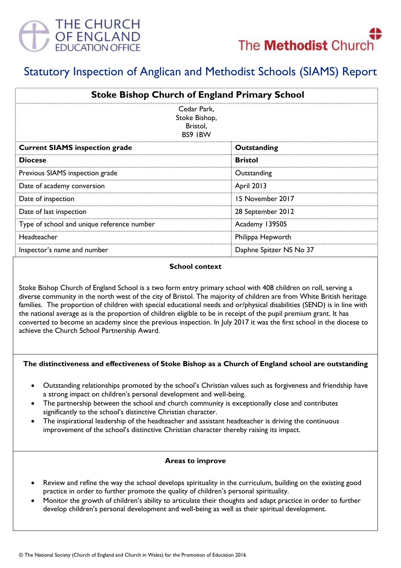



# Statutory Inspection of Anglican and Methodist Schools (SIAMS) Report

| <b>Stoke Bishop Church of England Primary School</b> |                         |
|------------------------------------------------------|-------------------------|
| Cedar Park,<br>Stoke Bishop,<br>Bristol,<br>BS9 IBW  |                         |
| <b>Current SIAMS inspection grade</b>                | Outstanding             |
| <b>Diocese</b>                                       | <b>Bristol</b>          |
| Previous SIAMS inspection grade                      | Outstanding             |
| Date of academy conversion                           | <b>April 2013</b>       |
| Date of inspection                                   | 15 November 2017        |
| Date of last inspection                              | 28 September 2012       |
| Type of school and unique reference number           | Academy 139505          |
| Headteacher                                          | Philippa Hepworth       |
| Inspector's name and number                          | Daphne Spitzer NS No 37 |

### **School context**

Stoke Bishop Church of England School is a two form entry primary school with 408 children on roll, serving a diverse community in the north west of the city of Bristol. The majority of children are from White British heritage families. The proportion of children with special educational needs and or/physical disabilities (SEND) is in line with the national average as is the proportion of children eligible to be in receipt of the pupil premium grant. It has converted to become an academy since the previous inspection. In July 2017 it was the first school in the diocese to achieve the Church School Partnership Award.

#### **The distinctiveness and effectiveness of Stoke Bishop as a Church of England school are outstanding**

- Outstanding relationships promoted by the school's Christian values such as forgiveness and friendship have a strong impact on children's personal development and well-being.
- The partnership between the school and church community is exceptionally close and contributes significantly to the school's distinctive Christian character.
- The inspirational leadership of the headteacher and assistant headteacher is driving the continuous improvement of the school's distinctive Christian character thereby raising its impact.

#### **Areas to improve**

- Review and refine the way the school develops spirituality in the curriculum, building on the existing good practice in order to further promote the quality of children's personal spirituality.
- Monitor the growth of children's ability to articulate their thoughts and adapt practice in order to further develop children's personal development and well-being as well as their spiritual development.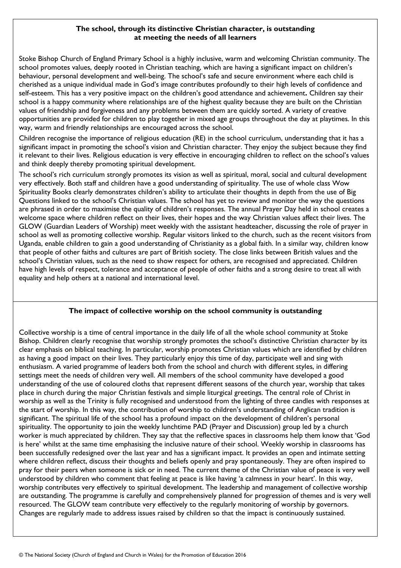## **The school, through its distinctive Christian character, is outstanding at meeting the needs of all learners**

Stoke Bishop Church of England Primary School is a highly inclusive, warm and welcoming Christian community. The school promotes values, deeply rooted in Christian teaching, which are having a significant impact on children's behaviour, personal development and well-being. The school's safe and secure environment where each child is cherished as a unique individual made in God's image contributes profoundly to their high levels of confidence and self-esteem. This has a very positive impact on the children's good attendance and achievement**.** Children say their school is a happy community where relationships are of the highest quality because they are built on the Christian values of friendship and forgiveness and any problems between them are quickly sorted. A variety of creative opportunities are provided for children to play together in mixed age groups throughout the day at playtimes. In this way, warm and friendly relationships are encouraged across the school.

Children recognise the importance of religious education (RE) in the school curriculum, understanding that it has a significant impact in promoting the school's vision and Christian character. They enjoy the subject because they find it relevant to their lives. Religious education is very effective in encouraging children to reflect on the school's values and think deeply thereby promoting spiritual development.

The school's rich curriculum strongly promotes its vision as well as spiritual, moral, social and cultural development very effectively. Both staff and children have a good understanding of spirituality. The use of whole class Wow Spirituality Books clearly demonstrates children's ability to articulate their thoughts in depth from the use of Big Questions linked to the school's Christian values. The school has yet to review and monitor the way the questions are phrased in order to maximise the quality of children's responses. The annual Prayer Day held in school creates a welcome space where children reflect on their lives, their hopes and the way Christian values affect their lives. The GLOW (Guardian Leaders of Worship) meet weekly with the assistant headteacher, discussing the role of prayer in school as well as promoting collective worship. Regular visitors linked to the church, such as the recent visitors from Uganda, enable children to gain a good understanding of Christianity as a global faith. In a similar way, children know that people of other faiths and cultures are part of British society. The close links between British values and the school's Christian values, such as the need to show respect for others, are recognised and appreciated. Children have high levels of respect, tolerance and acceptance of people of other faiths and a strong desire to treat all with equality and help others at a national and international level.

# **The impact of collective worship on the school community is outstanding**

Collective worship is a time of central importance in the daily life of all the whole school community at Stoke Bishop. Children clearly recognise that worship strongly promotes the school's distinctive Christian character by its clear emphasis on biblical teaching. In particular, worship promotes Christian values which are identified by children as having a good impact on their lives. They particularly enjoy this time of day, participate well and sing with enthusiasm. A varied programme of leaders both from the school and church with different styles, in differing settings meet the needs of children very well. All members of the school community have developed a good understanding of the use of coloured cloths that represent different seasons of the church year, worship that takes place in church during the major Christian festivals and simple liturgical greetings. The central role of Christ in worship as well as the Trinity is fully recognised and understood from the lighting of three candles with responses at the start of worship. In this way, the contribution of worship to children's understanding of Anglican tradition is significant. The spiritual life of the school has a profound impact on the development of children's personal spirituality. The opportunity to join the weekly lunchtime PAD (Prayer and Discussion) group led by a church worker is much appreciated by children. They say that the reflective spaces in classrooms help them know that 'God is here' whilst at the same time emphasising the inclusive nature of their school. Weekly worship in classrooms has been successfully redesigned over the last year and has a significant impact. It provides an open and intimate setting where children reflect, discuss their thoughts and beliefs openly and pray spontaneously. They are often inspired to pray for their peers when someone is sick or in need. The current theme of the Christian value of peace is very well understood by children who comment that feeling at peace is like having 'a calmness in your heart'. In this way, worship contributes very effectively to spiritual development. The leadership and management of collective worship are outstanding. The programme is carefully and comprehensively planned for progression of themes and is very well resourced. The GLOW team contribute very effectively to the regularly monitoring of worship by governors. Changes are regularly made to address issues raised by children so that the impact is continuously sustained.